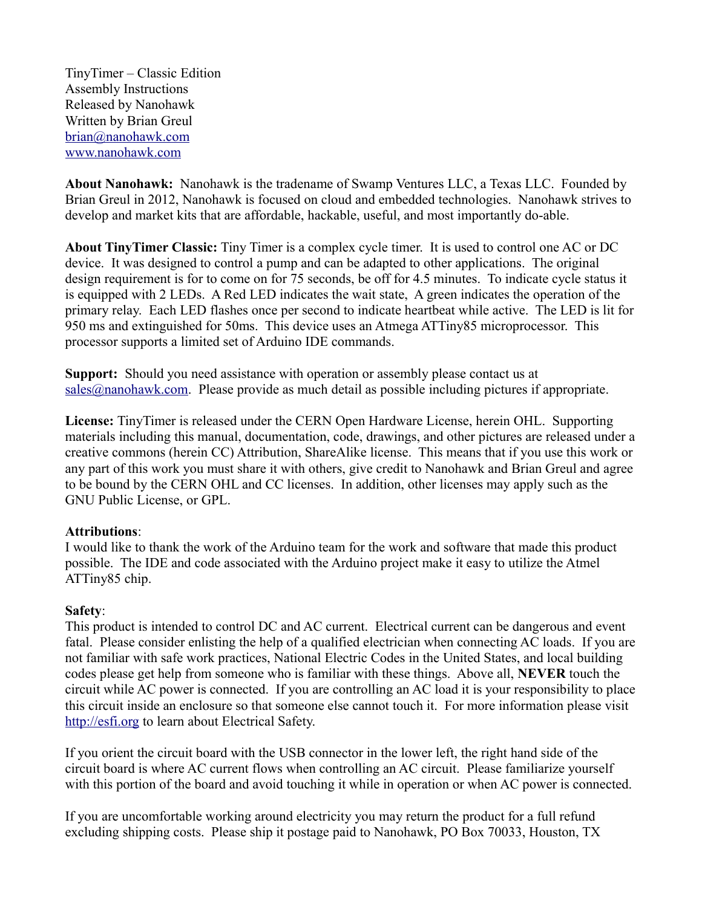TinyTimer – Classic Edition Assembly Instructions Released by Nanohawk Written by Brian Greul [brian@nanohawk.com](mailto:brian@nanohawk.com) [www.nanohawk.com](http://www.nanohawk.com/)

**About Nanohawk:** Nanohawk is the tradename of Swamp Ventures LLC, a Texas LLC. Founded by Brian Greul in 2012, Nanohawk is focused on cloud and embedded technologies. Nanohawk strives to develop and market kits that are affordable, hackable, useful, and most importantly do-able.

**About TinyTimer Classic:** Tiny Timer is a complex cycle timer. It is used to control one AC or DC device. It was designed to control a pump and can be adapted to other applications. The original design requirement is for to come on for 75 seconds, be off for 4.5 minutes. To indicate cycle status it is equipped with 2 LEDs. A Red LED indicates the wait state, A green indicates the operation of the primary relay. Each LED flashes once per second to indicate heartbeat while active. The LED is lit for 950 ms and extinguished for 50ms. This device uses an Atmega ATTiny85 microprocessor. This processor supports a limited set of Arduino IDE commands.

**Support:** Should you need assistance with operation or assembly please contact us at  $sales@nanohawk.com. Please provide as much detail as possible including pictures if appropriate.$  $sales@nanohawk.com. Please provide as much detail as possible including pictures if appropriate.$ 

**License:** TinyTimer is released under the CERN Open Hardware License, herein OHL. Supporting materials including this manual, documentation, code, drawings, and other pictures are released under a creative commons (herein CC) Attribution, ShareAlike license. This means that if you use this work or any part of this work you must share it with others, give credit to Nanohawk and Brian Greul and agree to be bound by the CERN OHL and CC licenses. In addition, other licenses may apply such as the GNU Public License, or GPL.

#### **Attributions**:

I would like to thank the work of the Arduino team for the work and software that made this product possible. The IDE and code associated with the Arduino project make it easy to utilize the Atmel ATTiny85 chip.

#### **Safety**:

This product is intended to control DC and AC current. Electrical current can be dangerous and event fatal. Please consider enlisting the help of a qualified electrician when connecting AC loads. If you are not familiar with safe work practices, National Electric Codes in the United States, and local building codes please get help from someone who is familiar with these things. Above all, **NEVER** touch the circuit while AC power is connected. If you are controlling an AC load it is your responsibility to place this circuit inside an enclosure so that someone else cannot touch it. For more information please visit [http://esfi.org](http://esfi.org/) to learn about Electrical Safety.

If you orient the circuit board with the USB connector in the lower left, the right hand side of the circuit board is where AC current flows when controlling an AC circuit. Please familiarize yourself with this portion of the board and avoid touching it while in operation or when AC power is connected.

If you are uncomfortable working around electricity you may return the product for a full refund excluding shipping costs. Please ship it postage paid to Nanohawk, PO Box 70033, Houston, TX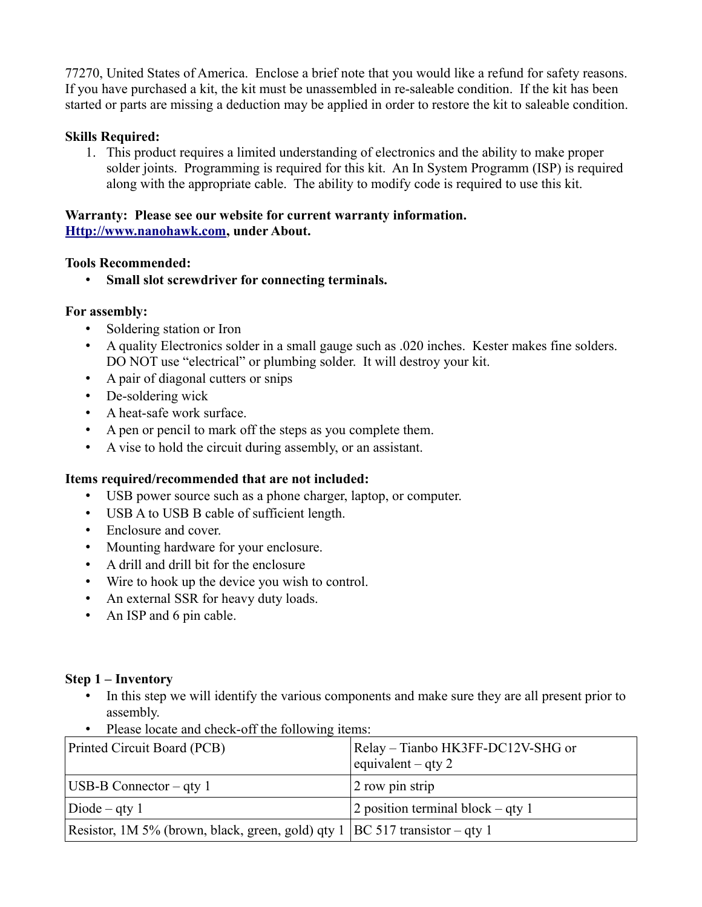77270, United States of America. Enclose a brief note that you would like a refund for safety reasons. If you have purchased a kit, the kit must be unassembled in re-saleable condition. If the kit has been started or parts are missing a deduction may be applied in order to restore the kit to saleable condition.

## **Skills Required:**

1. This product requires a limited understanding of electronics and the ability to make proper solder joints. Programming is required for this kit. An In System Programm (ISP) is required along with the appropriate cable. The ability to modify code is required to use this kit.

### **Warranty: Please see our website for current warranty information. [Http://www.nanohawk.com,](http://www.nanohawk.com/) under About.**

#### **Tools Recommended:**

• **Small slot screwdriver for connecting terminals.**

### **For assembly:**

- Soldering station or Iron
- A quality Electronics solder in a small gauge such as .020 inches. Kester makes fine solders. DO NOT use "electrical" or plumbing solder. It will destroy your kit.
- A pair of diagonal cutters or snips
- De-soldering wick
- A heat-safe work surface.
- A pen or pencil to mark off the steps as you complete them.
- A vise to hold the circuit during assembly, or an assistant.

## **Items required/recommended that are not included:**

- USB power source such as a phone charger, laptop, or computer.
- USB A to USB B cable of sufficient length.
- Enclosure and cover.
- Mounting hardware for your enclosure.
- A drill and drill bit for the enclosure
- Wire to hook up the device you wish to control.
- An external SSR for heavy duty loads.
- An ISP and 6 pin cable.

## **Step 1 – Inventory**

- In this step we will identify the various components and make sure they are all present prior to assembly.
- Please locate and check-off the following items:

| Printed Circuit Board (PCB)                                                   | Relay – Tianbo HK3FF-DC12V-SHG or<br>equivalent – qty 2 |
|-------------------------------------------------------------------------------|---------------------------------------------------------|
| $ UBB-B$ Connector – qty 1                                                    | 2 row pin strip                                         |
| $Diode - qty 1$                                                               | 2 position terminal block $-$ qty 1                     |
| Resistor, 1M 5% (brown, black, green, gold) qty 1   BC 517 transistor – qty 1 |                                                         |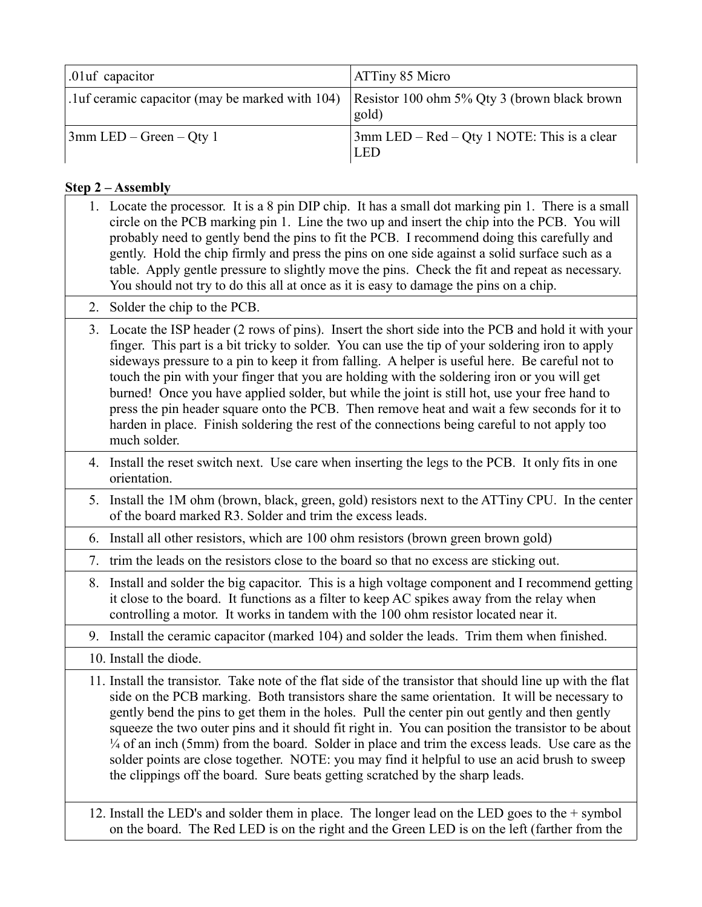| .01uf capacitor                                  | <b>ATTiny 85 Micro</b>                                           |
|--------------------------------------------------|------------------------------------------------------------------|
| .1 uf ceramic capacitor (may be marked with 104) | Resistor 100 ohm 5% Qty 3 (brown black brown<br>gold)            |
| $3$ mm LED – Green – Qty 1                       | $\frac{1}{2}$ mm LED – Red – Qty 1 NOTE: This is a clear<br>LED. |

# **Step 2 – Assembly**

|    | 1. Locate the processor. It is a 8 pin DIP chip. It has a small dot marking pin 1. There is a small<br>circle on the PCB marking pin 1. Line the two up and insert the chip into the PCB. You will<br>probably need to gently bend the pins to fit the PCB. I recommend doing this carefully and<br>gently. Hold the chip firmly and press the pins on one side against a solid surface such as a<br>table. Apply gentle pressure to slightly move the pins. Check the fit and repeat as necessary.<br>You should not try to do this all at once as it is easy to damage the pins on a chip.                                                                                                                             |
|----|--------------------------------------------------------------------------------------------------------------------------------------------------------------------------------------------------------------------------------------------------------------------------------------------------------------------------------------------------------------------------------------------------------------------------------------------------------------------------------------------------------------------------------------------------------------------------------------------------------------------------------------------------------------------------------------------------------------------------|
|    | 2. Solder the chip to the PCB.                                                                                                                                                                                                                                                                                                                                                                                                                                                                                                                                                                                                                                                                                           |
|    | 3. Locate the ISP header (2 rows of pins). Insert the short side into the PCB and hold it with your<br>finger. This part is a bit tricky to solder. You can use the tip of your soldering iron to apply<br>sideways pressure to a pin to keep it from falling. A helper is useful here. Be careful not to<br>touch the pin with your finger that you are holding with the soldering iron or you will get<br>burned! Once you have applied solder, but while the joint is still hot, use your free hand to<br>press the pin header square onto the PCB. Then remove heat and wait a few seconds for it to<br>harden in place. Finish soldering the rest of the connections being careful to not apply too<br>much solder. |
|    | 4. Install the reset switch next. Use care when inserting the legs to the PCB. It only fits in one<br>orientation.                                                                                                                                                                                                                                                                                                                                                                                                                                                                                                                                                                                                       |
|    | 5. Install the 1M ohm (brown, black, green, gold) resistors next to the ATTiny CPU. In the center<br>of the board marked R3. Solder and trim the excess leads.                                                                                                                                                                                                                                                                                                                                                                                                                                                                                                                                                           |
|    | 6. Install all other resistors, which are 100 ohm resistors (brown green brown gold)                                                                                                                                                                                                                                                                                                                                                                                                                                                                                                                                                                                                                                     |
| 7. | trim the leads on the resistors close to the board so that no excess are sticking out.                                                                                                                                                                                                                                                                                                                                                                                                                                                                                                                                                                                                                                   |
|    | 8. Install and solder the big capacitor. This is a high voltage component and I recommend getting<br>it close to the board. It functions as a filter to keep AC spikes away from the relay when<br>controlling a motor. It works in tandem with the 100 ohm resistor located near it.                                                                                                                                                                                                                                                                                                                                                                                                                                    |
|    | 9. Install the ceramic capacitor (marked 104) and solder the leads. Trim them when finished.                                                                                                                                                                                                                                                                                                                                                                                                                                                                                                                                                                                                                             |
|    | 10. Install the diode.                                                                                                                                                                                                                                                                                                                                                                                                                                                                                                                                                                                                                                                                                                   |
|    | 11. Install the transistor. Take note of the flat side of the transistor that should line up with the flat<br>side on the PCB marking. Both transistors share the same orientation. It will be necessary to<br>gently bend the pins to get them in the holes. Pull the center pin out gently and then gently<br>squeeze the two outer pins and it should fit right in. You can position the transistor to be about<br>$\frac{1}{4}$ of an inch (5mm) from the board. Solder in place and trim the excess leads. Use care as the<br>solder points are close together. NOTE: you may find it helpful to use an acid brush to sweep<br>the clippings off the board. Sure beats getting scratched by the sharp leads.        |
|    | 12. Install the LED's and solder them in place. The longer lead on the LED goes to the $+$ symbol<br>on the board. The Red LED is on the right and the Green LED is on the left (farther from the                                                                                                                                                                                                                                                                                                                                                                                                                                                                                                                        |